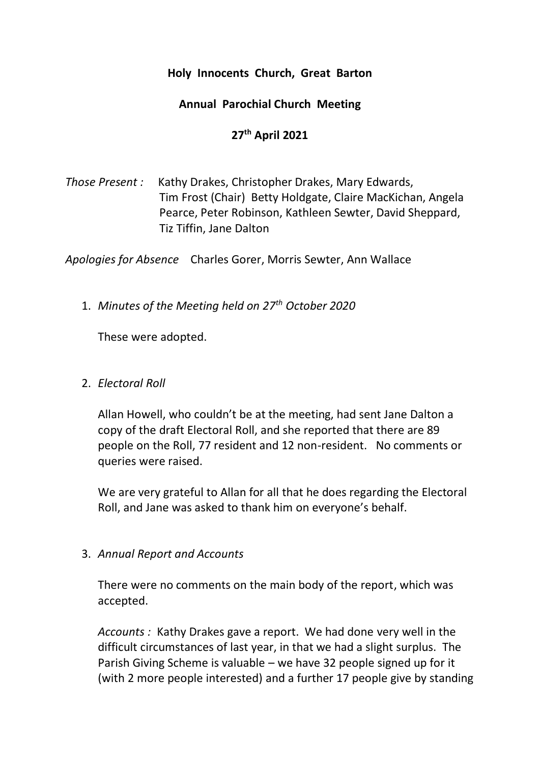### **Holy Innocents Church, Great Barton**

## **Annual Parochial Church Meeting**

# **27th April 2021**

*Those Present :* Kathy Drakes, Christopher Drakes, Mary Edwards, Tim Frost (Chair) Betty Holdgate, Claire MacKichan, Angela Pearce, Peter Robinson, Kathleen Sewter, David Sheppard, Tiz Tiffin, Jane Dalton

*Apologies for Absence* Charles Gorer, Morris Sewter, Ann Wallace

1. *Minutes of the Meeting held on 27th October 2020*

These were adopted.

# 2. *Electoral Roll*

Allan Howell, who couldn't be at the meeting, had sent Jane Dalton a copy of the draft Electoral Roll, and she reported that there are 89 people on the Roll, 77 resident and 12 non-resident. No comments or queries were raised.

We are very grateful to Allan for all that he does regarding the Electoral Roll, and Jane was asked to thank him on everyone's behalf.

### 3. *Annual Report and Accounts*

There were no comments on the main body of the report, which was accepted.

*Accounts :* Kathy Drakes gave a report. We had done very well in the difficult circumstances of last year, in that we had a slight surplus. The Parish Giving Scheme is valuable – we have 32 people signed up for it (with 2 more people interested) and a further 17 people give by standing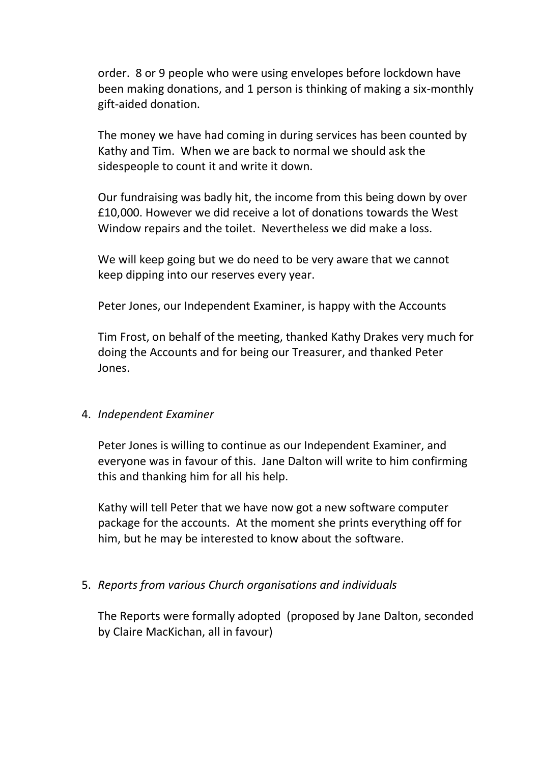order. 8 or 9 people who were using envelopes before lockdown have been making donations, and 1 person is thinking of making a six-monthly gift-aided donation.

The money we have had coming in during services has been counted by Kathy and Tim. When we are back to normal we should ask the sidespeople to count it and write it down.

Our fundraising was badly hit, the income from this being down by over £10,000. However we did receive a lot of donations towards the West Window repairs and the toilet. Nevertheless we did make a loss.

We will keep going but we do need to be very aware that we cannot keep dipping into our reserves every year.

Peter Jones, our Independent Examiner, is happy with the Accounts

Tim Frost, on behalf of the meeting, thanked Kathy Drakes very much for doing the Accounts and for being our Treasurer, and thanked Peter Jones.

### 4. *Independent Examiner*

Peter Jones is willing to continue as our Independent Examiner, and everyone was in favour of this. Jane Dalton will write to him confirming this and thanking him for all his help.

Kathy will tell Peter that we have now got a new software computer package for the accounts. At the moment she prints everything off for him, but he may be interested to know about the software.

### 5. *Reports from various Church organisations and individuals*

The Reports were formally adopted (proposed by Jane Dalton, seconded by Claire MacKichan, all in favour)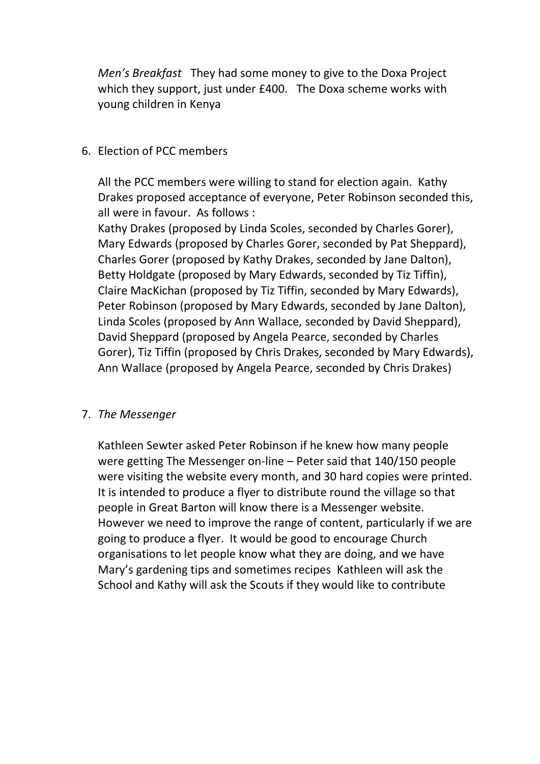*Men's Breakfast* They had some money to give to the Doxa Project which they support, just under £400. The Doxa scheme works with young children in Kenya

#### 6. Election of PCC members

All the PCC members were willing to stand for election again. Kathy Drakes proposed acceptance of everyone, Peter Robinson seconded this, all were in favour. As follows :

Kathy Drakes (proposed by Linda Scoles, seconded by Charles Gorer), Mary Edwards (proposed by Charles Gorer, seconded by Pat Sheppard), Charles Gorer (proposed by Kathy Drakes, seconded by Jane Dalton), Betty Holdgate (proposed by Mary Edwards, seconded by Tiz Tiffin), Claire MacKichan (proposed by Tiz Tiffin, seconded by Mary Edwards), Peter Robinson (proposed by Mary Edwards, seconded by Jane Dalton), Linda Scoles (proposed by Ann Wallace, seconded by David Sheppard), David Sheppard (proposed by Angela Pearce, seconded by Charles Gorer), Tiz Tiffin (proposed by Chris Drakes, seconded by Mary Edwards), Ann Wallace (proposed by Angela Pearce, seconded by Chris Drakes)

### 7. *The Messenger*

Kathleen Sewter asked Peter Robinson if he knew how many people were getting The Messenger on-line – Peter said that 140/150 people were visiting the website every month, and 30 hard copies were printed. It is intended to produce a flyer to distribute round the village so that people in Great Barton will know there is a Messenger website. However we need to improve the range of content, particularly if we are going to produce a flyer. It would be good to encourage Church organisations to let people know what they are doing, and we have Mary's gardening tips and sometimes recipes Kathleen will ask the School and Kathy will ask the Scouts if they would like to contribute